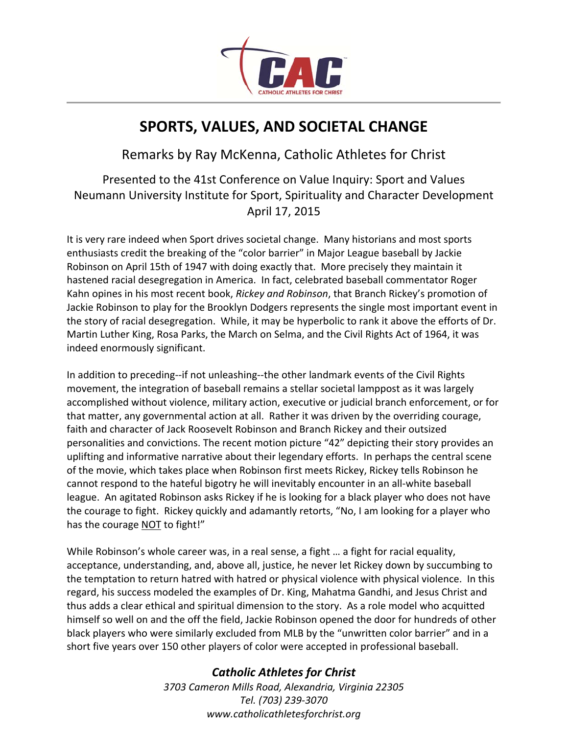

## **SPORTS, VALUES, AND SOCIETAL CHANGE**

Remarks by Ray McKenna, Catholic Athletes for Christ

Presented to the 41st Conference on Value Inquiry: Sport and Values Neumann University Institute for Sport, Spirituality and Character Development April 17, 2015

It is very rare indeed when Sport drives societal change. Many historians and most sports enthusiasts credit the breaking of the "color barrier" in Major League baseball by Jackie Robinson on April 15th of 1947 with doing exactly that. More precisely they maintain it hastened racial desegregation in America. In fact, celebrated baseball commentator Roger Kahn opines in his most recent book, *Rickey and Robinson*, that Branch Rickey's promotion of Jackie Robinson to play for the Brooklyn Dodgers represents the single most important event in the story of racial desegregation. While, it may be hyperbolic to rank it above the efforts of Dr. Martin Luther King, Rosa Parks, the March on Selma, and the Civil Rights Act of 1964, it was indeed enormously significant.

In addition to preceding--if not unleashing--the other landmark events of the Civil Rights movement, the integration of baseball remains a stellar societal lamppost as it was largely accomplished without violence, military action, executive or judicial branch enforcement, or for that matter, any governmental action at all. Rather it was driven by the overriding courage, faith and character of Jack Roosevelt Robinson and Branch Rickey and their outsized personalities and convictions. The recent motion picture "42" depicting their story provides an uplifting and informative narrative about their legendary efforts. In perhaps the central scene of the movie, which takes place when Robinson first meets Rickey, Rickey tells Robinson he cannot respond to the hateful bigotry he will inevitably encounter in an all-white baseball league. An agitated Robinson asks Rickey if he is looking for a black player who does not have the courage to fight. Rickey quickly and adamantly retorts, "No, I am looking for a player who has the courage NOT to fight!"

While Robinson's whole career was, in a real sense, a fight … a fight for racial equality, acceptance, understanding, and, above all, justice, he never let Rickey down by succumbing to the temptation to return hatred with hatred or physical violence with physical violence. In this regard, his success modeled the examples of Dr. King, Mahatma Gandhi, and Jesus Christ and thus adds a clear ethical and spiritual dimension to the story. As a role model who acquitted himself so well on and the off the field, Jackie Robinson opened the door for hundreds of other black players who were similarly excluded from MLB by the "unwritten color barrier" and in a short five years over 150 other players of color were accepted in professional baseball.

## *Catholic Athletes for Christ*

*3703 Cameron Mills Road, Alexandria, Virginia 22305 Tel. (703) 239-3070 www.catholicathletesforchrist.org*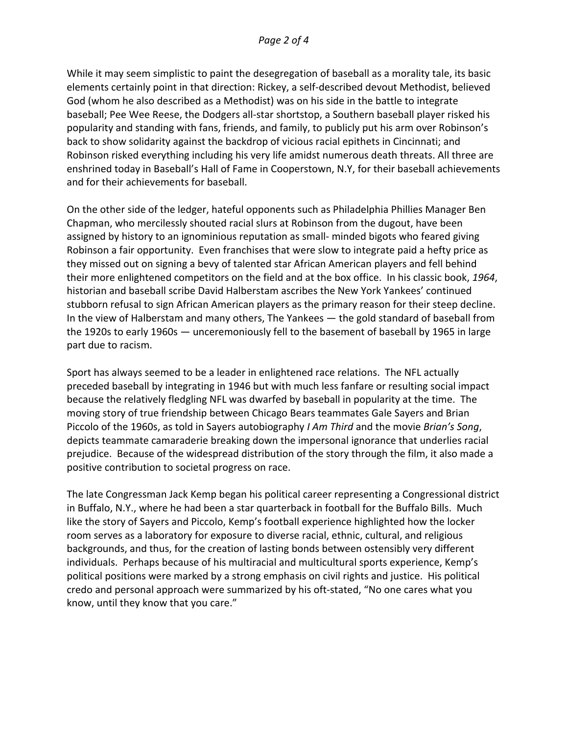While it may seem simplistic to paint the desegregation of baseball as a morality tale, its basic elements certainly point in that direction: Rickey, a self-described devout Methodist, believed God (whom he also described as a Methodist) was on his side in the battle to integrate baseball; Pee Wee Reese, the Dodgers all-star shortstop, a Southern baseball player risked his popularity and standing with fans, friends, and family, to publicly put his arm over Robinson's back to show solidarity against the backdrop of vicious racial epithets in Cincinnati; and Robinson risked everything including his very life amidst numerous death threats. All three are enshrined today in Baseball's Hall of Fame in Cooperstown, N.Y, for their baseball achievements and for their achievements for baseball.

On the other side of the ledger, hateful opponents such as Philadelphia Phillies Manager Ben Chapman, who mercilessly shouted racial slurs at Robinson from the dugout, have been assigned by history to an ignominious reputation as small- minded bigots who feared giving Robinson a fair opportunity. Even franchises that were slow to integrate paid a hefty price as they missed out on signing a bevy of talented star African American players and fell behind their more enlightened competitors on the field and at the box office. In his classic book, *1964*, historian and baseball scribe David Halberstam ascribes the New York Yankees' continued stubborn refusal to sign African American players as the primary reason for their steep decline. In the view of Halberstam and many others, The Yankees — the gold standard of baseball from the 1920s to early 1960s — unceremoniously fell to the basement of baseball by 1965 in large part due to racism.

Sport has always seemed to be a leader in enlightened race relations. The NFL actually preceded baseball by integrating in 1946 but with much less fanfare or resulting social impact because the relatively fledgling NFL was dwarfed by baseball in popularity at the time. The moving story of true friendship between Chicago Bears teammates Gale Sayers and Brian Piccolo of the 1960s, as told in Sayers autobiography *I Am Third* and the movie *Brian's Song*, depicts teammate camaraderie breaking down the impersonal ignorance that underlies racial prejudice. Because of the widespread distribution of the story through the film, it also made a positive contribution to societal progress on race.

The late Congressman Jack Kemp began his political career representing a Congressional district in Buffalo, N.Y., where he had been a star quarterback in football for the Buffalo Bills. Much like the story of Sayers and Piccolo, Kemp's football experience highlighted how the locker room serves as a laboratory for exposure to diverse racial, ethnic, cultural, and religious backgrounds, and thus, for the creation of lasting bonds between ostensibly very different individuals. Perhaps because of his multiracial and multicultural sports experience, Kemp's political positions were marked by a strong emphasis on civil rights and justice. His political credo and personal approach were summarized by his oft-stated, "No one cares what you know, until they know that you care."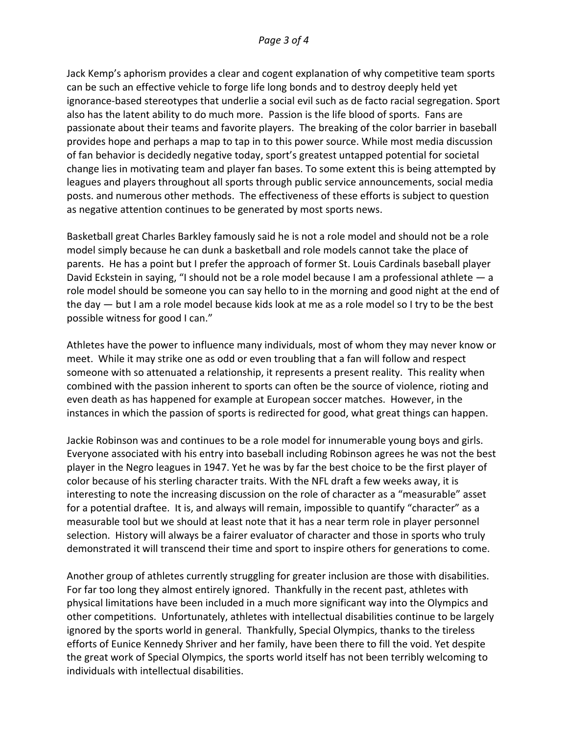Jack Kemp's aphorism provides a clear and cogent explanation of why competitive team sports can be such an effective vehicle to forge life long bonds and to destroy deeply held yet ignorance-based stereotypes that underlie a social evil such as de facto racial segregation. Sport also has the latent ability to do much more. Passion is the life blood of sports. Fans are passionate about their teams and favorite players. The breaking of the color barrier in baseball provides hope and perhaps a map to tap in to this power source. While most media discussion of fan behavior is decidedly negative today, sport's greatest untapped potential for societal change lies in motivating team and player fan bases. To some extent this is being attempted by leagues and players throughout all sports through public service announcements, social media posts. and numerous other methods. The effectiveness of these efforts is subject to question as negative attention continues to be generated by most sports news.

Basketball great Charles Barkley famously said he is not a role model and should not be a role model simply because he can dunk a basketball and role models cannot take the place of parents. He has a point but I prefer the approach of former St. Louis Cardinals baseball player David Eckstein in saying, "I should not be a role model because I am a professional athlete — a role model should be someone you can say hello to in the morning and good night at the end of the day — but I am a role model because kids look at me as a role model so I try to be the best possible witness for good I can."

Athletes have the power to influence many individuals, most of whom they may never know or meet. While it may strike one as odd or even troubling that a fan will follow and respect someone with so attenuated a relationship, it represents a present reality. This reality when combined with the passion inherent to sports can often be the source of violence, rioting and even death as has happened for example at European soccer matches. However, in the instances in which the passion of sports is redirected for good, what great things can happen.

Jackie Robinson was and continues to be a role model for innumerable young boys and girls. Everyone associated with his entry into baseball including Robinson agrees he was not the best player in the Negro leagues in 1947. Yet he was by far the best choice to be the first player of color because of his sterling character traits. With the NFL draft a few weeks away, it is interesting to note the increasing discussion on the role of character as a "measurable" asset for a potential draftee. It is, and always will remain, impossible to quantify "character" as a measurable tool but we should at least note that it has a near term role in player personnel selection. History will always be a fairer evaluator of character and those in sports who truly demonstrated it will transcend their time and sport to inspire others for generations to come.

Another group of athletes currently struggling for greater inclusion are those with disabilities. For far too long they almost entirely ignored. Thankfully in the recent past, athletes with physical limitations have been included in a much more significant way into the Olympics and other competitions. Unfortunately, athletes with intellectual disabilities continue to be largely ignored by the sports world in general. Thankfully, Special Olympics, thanks to the tireless efforts of Eunice Kennedy Shriver and her family, have been there to fill the void. Yet despite the great work of Special Olympics, the sports world itself has not been terribly welcoming to individuals with intellectual disabilities.